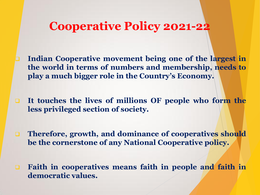- **Indian Cooperative movement being one of the largest in the world in terms of numbers and membership, needs to play a much bigger role in the Country's Economy.**
- **It touches the lives of millions OF people who form the less privileged section of society.**
- **Therefore, growth, and dominance of cooperatives should be the cornerstone of any National Cooperative policy.**
- **Faith in cooperatives means faith in people and faith in democratic values.**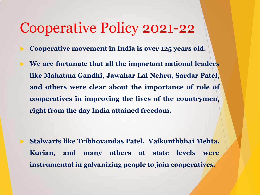**Cooperative movement in India is over 125 years old.**

 **We are fortunate that all the important national leaders like Mahatma Gandhi, Jawahar Lal Nehru, Sardar Patel, and others were clear about the importance of role of cooperatives in improving the lives of the countrymen, right from the day India attained freedom.**

 **Stalwarts like Tribhovandas Patel, Vaikunthbhai Mehta, Kurian, and many others at state levels were instrumental in galvanizing people to join cooperatives.**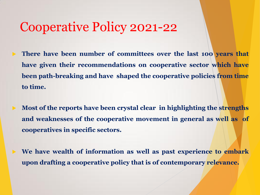- **There have been number of committees over the last 100 years that have given their recommendations on cooperative sector which have been path-breaking and have shaped the cooperative policies from time to time.**
- **Most of the reports have been crystal clear in highlighting the strengths and weaknesses of the cooperative movement in general as well as of cooperatives in specific sectors.**
- **We have wealth of information as well as past experience to embark upon drafting a cooperative policy that is of contemporary relevance.**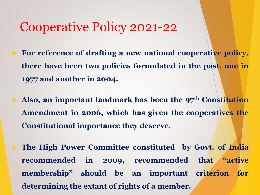- **For reference of drafting a new national cooperative policy, there have been two policies formulated in the past, one in 1977 and another in 2004.**
	- **Also, an important landmark has been the 97th Constitution Amendment in 2006, which has given the cooperatives the Constitutional importance they deserve.**
	- **The High Power Committee constituted by Govt. of India recommended in 2009, recommended that "active membership" should be an important criterion for determining the extant of rights of a member.**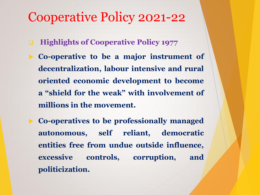- **Highlights of Cooperative Policy 1977**
- **Co-operative to be a major instrument of decentralization, labour intensive and rural oriented economic development to become a "shield for the weak" with involvement of millions in the movement.**
	- **Co-operatives to be professionally managed autonomous, self reliant, democratic entities free from undue outside influence, excessive controls, corruption, and politicization.**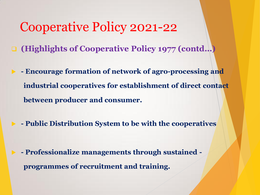- **(Highlights of Cooperative Policy 1977 (contd…)**
	- **- Encourage formation of network of agro-processing and industrial cooperatives for establishment of direct contact between producer and consumer.**
- **- Public Distribution System to be with the cooperatives**

 **- Professionalize managements through sustained programmes of recruitment and training.**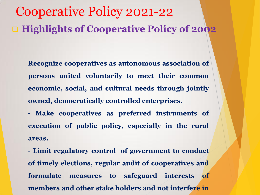# Cooperative Policy 2021-22 **Highlights of Cooperative Policy of 2002**

**Recognize cooperatives as autonomous association of persons united voluntarily to meet their common economic, social, and cultural needs through jointly owned, democratically controlled enterprises.**

**- Make cooperatives as preferred instruments of execution of public policy, especially in the rural areas.**

**- Limit regulatory control of government to conduct of timely elections, regular audit of cooperatives and formulate measures to safeguard interests of members and other stake holders and not interfere in**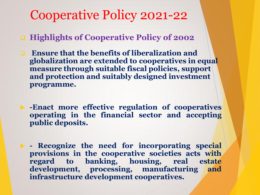**Highlights of Cooperative Policy of 2002** 

- **Ensure that the benefits of liberalization and globalization are extended to cooperatives in equal measure through suitable fiscal policies, support and protection and suitably designed investment programme.**
- **-Enact more effective regulation of cooperatives operating in the financial sector and accepting public deposits.**

 **- Recognize the need for incorporating special provisions in the cooperative societies acts with regard to banking, housing, real estate development, processing, manufacturing and infrastructure development cooperatives.**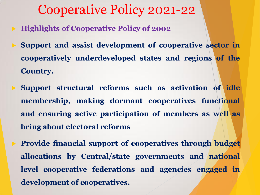- **Highlights of Cooperative Policy of 2002**
- **Support and assist development of cooperative sector in cooperatively underdeveloped states and regions of the Country.**
	- **Support structural reforms such as activation of idle membership, making dormant cooperatives functional and ensuring active participation of members as well as bring about electoral reforms**

 **Provide financial support of cooperatives through budget allocations by Central/state governments and national level cooperative federations and agencies engaged in development of cooperatives.**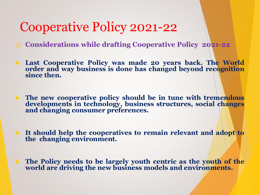- **Considerations while drafting Cooperative Policy 2021-22**
- **Last Cooperative Policy was made 20 years back. The World order and way business is done has changed beyond recognition since then.**
- **The new cooperative policy should be in tune with tremendous developments in technology, business structures, social changes and changing consumer preferences.**
- **It should help the cooperatives to remain relevant and adopt to the changing environment.**
- **The Policy needs to be largely youth centric as the youth of the world are driving the new business models and environments.**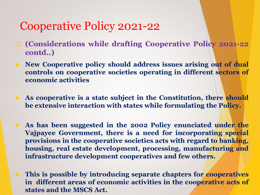- **(Considerations while drafting Cooperative Policy 2021-22 contd..)**
- **New Cooperative policy should address issues arising out of dual controls on cooperative societies operating in different sectors of economic activities**
- **As cooperative is a state subject in the Constitution, there should be extensive interaction with states while formulating the Policy.**
	- **As has been suggested in the 2002 Policy enunciated under the Vajpayee Government, there is a need for incorporating special provisions in the cooperative societies acts with regard to banking, housing, real estate development, processing, manufacturing and infrastructure development cooperatives and few others.**
- **This is possible by introducing separate chapters for cooperatives in different areas of economic activities in the cooperative acts of states and the MSCS Act.**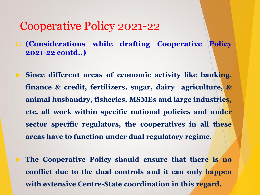**(Considerations while drafting Cooperative Policy 2021-22 contd..)**

 **Since different areas of economic activity like banking, finance & credit, fertilizers, sugar, dairy agriculture, & animal husbandry, fisheries, MSMEs and large industries, etc. all work within specific national policies and under sector specific regulators, the cooperatives in all these areas have to function under dual regulatory regime.**

 **The Cooperative Policy should ensure that there is no conflict due to the dual controls and it can only happen with extensive Centre-State coordination in this regard.**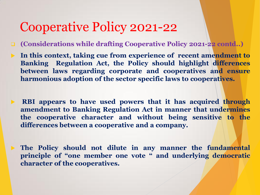- **(Considerations while drafting Cooperative Policy 2021-22 contd..)**
- **In this context, taking cue from experience of recent amendment to Banking Regulation Act, the Policy should highlight differences between laws regarding corporate and cooperatives and ensure harmonious adoption of the sector specific laws to cooperatives.**

 **RBI appears to have used powers that it has acquired through amendment to Banking Regulation Act in manner that undermines the cooperative character and without being sensitive to the differences between a cooperative and a company.**

 **The Policy should not dilute in any manner the fundamental principle of "one member one vote " and underlying democratic character of the cooperatives.**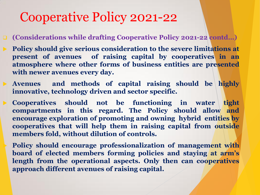- **(Considerations while drafting Cooperative Policy 2021-22 contd…)**
- **Policy should give serious consideration to the severe limitations at present of avenues of raising capital by cooperatives in an atmosphere where other forms of business entities are presented with newer avenues every day.**
- **Avenues and methods of capital raising should be highly innovative, technology driven and sector specific.**
	- **Cooperatives should not be functioning in water tight compartments in this regard. The Policy should allow and encourage exploration of promoting and owning hybrid entities by cooperatives that will help them in raising capital from outside members fold, without dilution of controls.**
		- **Policy should encourage professionalization of management with board of elected members forming policies and staying at arm's length from the operational aspects. Only then can cooperatives approach different avenues of raising capital.**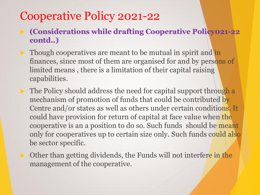**(Considerations while drafting Cooperative Policy021-22 contd..)**

- Though cooperatives are meant to be mutual in spirit and in finances, since most of them are organised for and by persons of limited means , there is a limitation of their capital raising capabilities.
- $\triangleright$  The Policy should address the need for capital support through a mechanism of promotion of funds that could be contributed by Centre and/or states as well as others under certain conditions. It could have provision for return of capital at face value when the cooperative is an a position to do so. Such funds should be meant only for cooperatives up to certain size only. Such funds could also be sector specific.
	- Other than getting dividends, the Funds will not interfere in the management of the cooperative.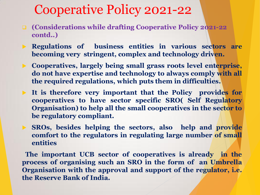- **(Considerations while drafting Cooperative Policy 2021-22 contd..)**
- **Regulations of business entities in various sectors are becoming very stringent, complex and technology driven.**
- **Cooperatives, largely being small grass roots level enterprise, do not have expertise and technology to always comply with all the required regulations, which puts them in difficulties.**
- **It is therefore very important that the Policy provides for cooperatives to have sector specific SRO( Self Regulatory Organisation) to help all the small cooperatives in the sector to be regulatory compliant.**
- **SROs, besides helping the sectors, also help and provide comfort to the regulators in regulating large number of small entities**

**The important UCB sector of cooperatives is already in the process of organising such an SRO in the form of an Umbrella Organisation with the approval and support of the regulator, i.e. the Reserve Bank of India.**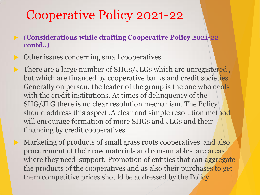- **(Considerations while drafting Cooperative Policy 2021-22 contd..)**
- Other issues concerning small cooperatives
- There are a large number of SHGs/JLGs which are unregistered , but which are financed by cooperative banks and credit societies. Generally on person, the leader of the group is the one who deals with the credit institutions. At times of delinquency of the SHG/JLG there is no clear resolution mechanism. The Policy should address this aspect .A clear and simple resolution method will encourage formation of more SHGs and JLGs and their financing by credit cooperatives.
	- Marketing of products of small grass roots cooperatives and also procurement of their raw materials and consumables are areas where they need support. Promotion of entities that can aggregate the products of the cooperatives and as also their purchases to get them competitive prices should be addressed by the Policy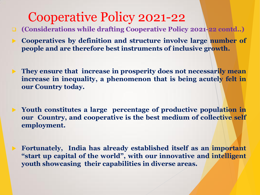**(Considerations while drafting Cooperative Policy 2021-22 contd..)**

 **Cooperatives by definition and structure involve large number of people and are therefore best instruments of inclusive growth.**

 **They ensure that increase in prosperity does not necessarily mean increase in inequality, a phenomenon that is being acutely felt in our Country today.**

 **Youth constitutes a large percentage of productive population in our Country, and cooperative is the best medium of collective self employment.**

 **Fortunately, India has already established itself as an important "start up capital of the world", with our innovative and intelligent youth showcasing their capabilities in diverse areas.**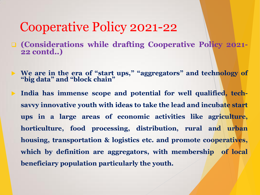- **(Considerations while drafting Cooperative Policy 2021- 22 contd..)**
- **We are in the era of "start ups," "aggregators" and technology of "big data" and "block chain"**
- **India has immense scope and potential for well qualified, techsavvy innovative youth with ideas to take the lead and incubate start ups in a large areas of economic activities like agriculture, horticulture, food processing, distribution, rural and urban housing, transportation & logistics etc. and promote cooperatives, which by definition are aggregators, with membership of local beneficiary population particularly the youth.**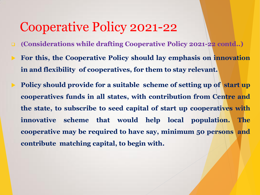- **(Considerations while drafting Cooperative Policy 2021-22 contd..)**
- **For this, the Cooperative Policy should lay emphasis on innovation in and flexibility of cooperatives, for them to stay relevant.**
- **Policy should provide for a suitable scheme of setting up of start up cooperatives funds in all states, with contribution from Centre and the state, to subscribe to seed capital of start up cooperatives with innovative scheme that would help local population. The cooperative may be required to have say, minimum 50 persons and contribute matching capital, to begin with.**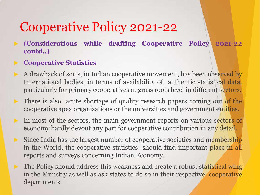- **(Considerations while drafting Cooperative Policy 2021-22 contd..)**
- **Cooperative Statistics**
- A drawback of sorts, in Indian cooperative movement, has been observed by International bodies, in terms of availability of authentic statistical data, particularly for primary cooperatives at grass roots level in different sectors.
- There is also acute shortage of quality research papers coming out of the cooperative apex organisations or the universities and government entities.
- In most of the sectors, the main government reports on various sectors of economy hardly devout any part for cooperative contribution in any detail.
- Since India has the largest number of cooperative societies and membership in the World, the cooperative statistics should find important place in all reports and surveys concerning Indian Economy.
- The Policy should address this weakness and create a robust statistical wing in the Ministry as well as ask states to do so in their respective cooperative departments.